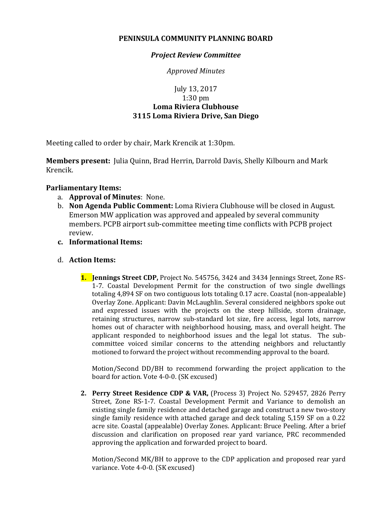### **PENINSULA COMMUNITY PLANNING BOARD**

### *Project Review Committee*

*Approved Minutes*

# July 13, 2017 1:30 pm **Loma Riviera Clubhouse 3115 Loma Riviera Drive, San Diego**

Meeting called to order by chair, Mark Krencik at 1:30pm.

**Members present:** Julia Quinn, Brad Herrin, Darrold Davis, Shelly Kilbourn and Mark Krencik.

## **Parliamentary Items:**

- a. **Approval of Minutes**: None.
- b. **Non Agenda Public Comment:** Loma Riviera Clubhouse will be closed in August. Emerson MW application was approved and appealed by several community members. PCPB airport sub-committee meeting time conflicts with PCPB project review.
- **c. Informational Items:**

### d. **Action Items:**

**1. Jennings Street CDP,** Project No. 545756, 3424 and 3434 Jennings Street, Zone RS-1-7. Coastal Development Permit for the construction of two single dwellings totaling 4,894 SF on two contiguous lots totaling 0.17 acre. Coastal (non-appealable) Overlay Zone. Applicant: Davin McLaughlin. Several considered neighbors spoke out and expressed issues with the projects on the steep hillside, storm drainage, retaining structures, narrow sub-standard lot size, fire access, legal lots, narrow homes out of character with neighborhood housing, mass, and overall height. The applicant responded to neighborhood issues and the legal lot status. The subcommittee voiced similar concerns to the attending neighbors and reluctantly motioned to forward the project without recommending approval to the board.

Motion/Second DD/BH to recommend forwarding the project application to the board for action. Vote 4-0-0. (SK excused)

**2. Perry Street Residence CDP & VAR,** (Process 3) Project No. 529457, 2826 Perry Street, Zone RS-1-7. Coastal Development Permit and Variance to demolish an existing single family residence and detached garage and construct a new two-story single family residence with attached garage and deck totaling 5,159 SF on a 0.22 acre site. Coastal (appealable) Overlay Zones. Applicant: Bruce Peeling. After a brief discussion and clarification on proposed rear yard variance, PRC recommended approving the application and forwarded project to board.

Motion/Second MK/BH to approve to the CDP application and proposed rear yard variance. Vote 4-0-0. (SK excused)